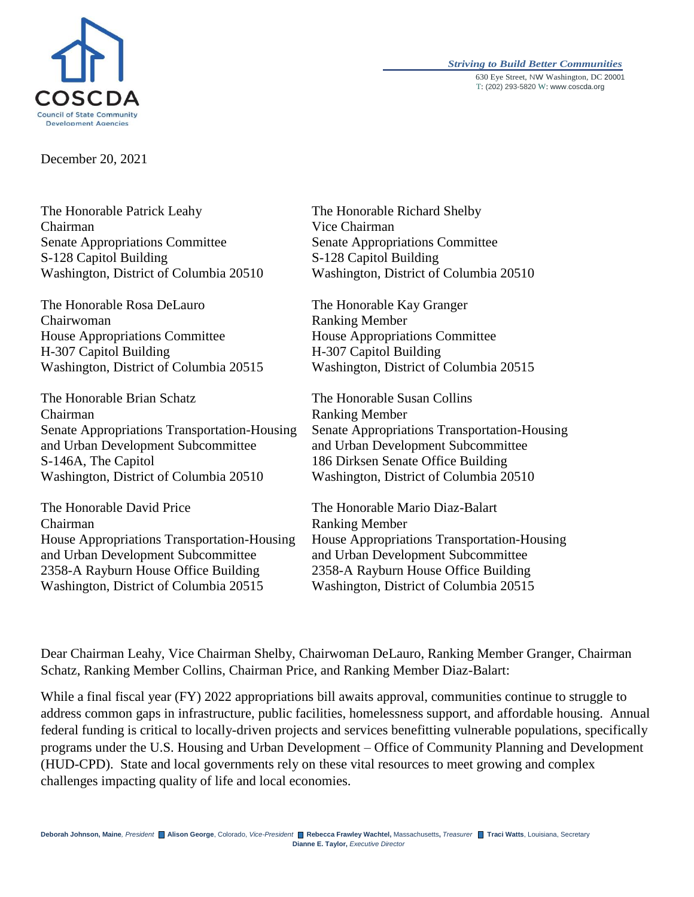

#### *Striving to Build Better Communities* 630 Eye Street, NW Washington, DC 20001 T: (202) 293-5820 W: www.coscda.org

December 20, 2021

The Honorable Patrick Leahy Chairman Senate Appropriations Committee S-128 Capitol Building Washington, District of Columbia 20510

The Honorable Rosa DeLauro Chairwoman House Appropriations Committee H-307 Capitol Building Washington, District of Columbia 20515

The Honorable Brian Schatz Chairman Senate Appropriations Transportation-Housing and Urban Development Subcommittee S-146A, The Capitol Washington, District of Columbia 20510

The Honorable David Price Chairman House Appropriations Transportation-Housing and Urban Development Subcommittee 2358-A Rayburn House Office Building Washington, District of Columbia 20515

The Honorable Richard Shelby Vice Chairman Senate Appropriations Committee S-128 Capitol Building Washington, District of Columbia 20510

The Honorable Kay Granger Ranking Member House Appropriations Committee H-307 Capitol Building Washington, District of Columbia 20515

The Honorable Susan Collins Ranking Member Senate Appropriations Transportation-Housing and Urban Development Subcommittee 186 Dirksen Senate Office Building Washington, District of Columbia 20510

The Honorable Mario Diaz-Balart Ranking Member House Appropriations Transportation-Housing and Urban Development Subcommittee 2358-A Rayburn House Office Building Washington, District of Columbia 20515

Dear Chairman Leahy, Vice Chairman Shelby, Chairwoman DeLauro, Ranking Member Granger, Chairman Schatz, Ranking Member Collins, Chairman Price, and Ranking Member Diaz-Balart:

While a final fiscal year (FY) 2022 appropriations bill awaits approval, communities continue to struggle to address common gaps in infrastructure, public facilities, homelessness support, and affordable housing. Annual federal funding is critical to locally-driven projects and services benefitting vulnerable populations, specifically programs under the U.S. Housing and Urban Development – Office of Community Planning and Development (HUD-CPD). State and local governments rely on these vital resources to meet growing and complex challenges impacting quality of life and local economies.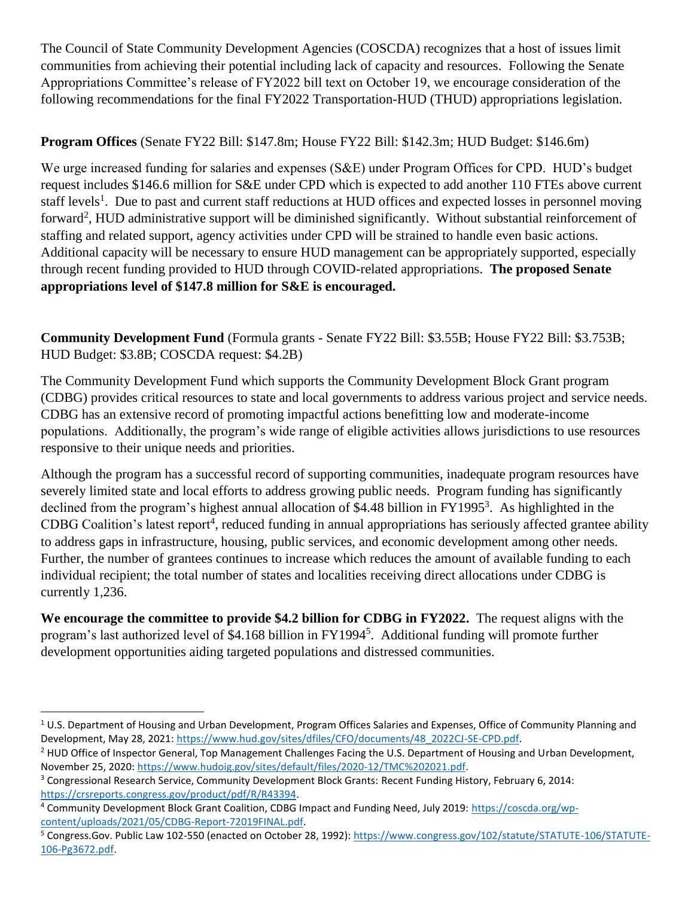The Council of State Community Development Agencies (COSCDA) recognizes that a host of issues limit communities from achieving their potential including lack of capacity and resources. Following the Senate Appropriations Committee's release of FY2022 bill text on October 19, we encourage consideration of the following recommendations for the final FY2022 Transportation-HUD (THUD) appropriations legislation.

# **Program Offices** (Senate FY22 Bill: \$147.8m; House FY22 Bill: \$142.3m; HUD Budget: \$146.6m)

We urge increased funding for salaries and expenses (S&E) under Program Offices for CPD. HUD's budget request includes \$146.6 million for S&E under CPD which is expected to add another 110 FTEs above current staff levels<sup>1</sup>. Due to past and current staff reductions at HUD offices and expected losses in personnel moving forward<sup>2</sup>, HUD administrative support will be diminished significantly. Without substantial reinforcement of staffing and related support, agency activities under CPD will be strained to handle even basic actions. Additional capacity will be necessary to ensure HUD management can be appropriately supported, especially through recent funding provided to HUD through COVID-related appropriations. **The proposed Senate appropriations level of \$147.8 million for S&E is encouraged.**

**Community Development Fund** (Formula grants - Senate FY22 Bill: \$3.55B; House FY22 Bill: \$3.753B; HUD Budget: \$3.8B; COSCDA request: \$4.2B)

The Community Development Fund which supports the Community Development Block Grant program (CDBG) provides critical resources to state and local governments to address various project and service needs. CDBG has an extensive record of promoting impactful actions benefitting low and moderate-income populations. Additionally, the program's wide range of eligible activities allows jurisdictions to use resources responsive to their unique needs and priorities.

Although the program has a successful record of supporting communities, inadequate program resources have severely limited state and local efforts to address growing public needs. Program funding has significantly declined from the program's highest annual allocation of \$4.48 billion in FY1995<sup>3</sup>. As highlighted in the CDBG Coalition's latest report<sup>4</sup>, reduced funding in annual appropriations has seriously affected grantee ability to address gaps in infrastructure, housing, public services, and economic development among other needs. Further, the number of grantees continues to increase which reduces the amount of available funding to each individual recipient; the total number of states and localities receiving direct allocations under CDBG is currently 1,236.

**We encourage the committee to provide \$4.2 billion for CDBG in FY2022.** The request aligns with the program's last authorized level of \$4.168 billion in FY1994<sup>5</sup>. Additional funding will promote further development opportunities aiding targeted populations and distressed communities.

 $\overline{\phantom{a}}$  $1$  U.S. Department of Housing and Urban Development, Program Offices Salaries and Expenses, Office of Community Planning and Development, May 28, 2021: [https://www.hud.gov/sites/dfiles/CFO/documents/48\\_2022CJ-SE-CPD.pdf.](https://www.hud.gov/sites/dfiles/CFO/documents/48_2022CJ-SE-CPD.pdf)

<sup>&</sup>lt;sup>2</sup> HUD Office of Inspector General, Top Management Challenges Facing the U.S. Department of Housing and Urban Development, November 25, 2020: [https://www.hudoig.gov/sites/default/files/2020-12/TMC%202021.pdf.](https://www.hudoig.gov/sites/default/files/2020-12/TMC%202021.pdf)

<sup>&</sup>lt;sup>3</sup> Congressional Research Service, Community Development Block Grants: Recent Funding History, February 6, 2014: [https://crsreports.congress.gov/product/pdf/R/R43394.](https://crsreports.congress.gov/product/pdf/R/R43394)

<sup>4</sup> Community Development Block Grant Coalition, CDBG Impact and Funding Need, July 2019: [https://coscda.org/wp](https://coscda.org/wp-content/uploads/2021/05/CDBG-Report-72019FINAL.pdf)[content/uploads/2021/05/CDBG-Report-72019FINAL.pdf.](https://coscda.org/wp-content/uploads/2021/05/CDBG-Report-72019FINAL.pdf)

<sup>&</sup>lt;sup>5</sup> Congress.Gov. Public Law 102-550 (enacted on October 28, 1992): [https://www.congress.gov/102/statute/STATUTE-106/STATUTE-](https://www.congress.gov/102/statute/STATUTE-106/STATUTE-106-Pg3672.pdf)[106-Pg3672.pdf.](https://www.congress.gov/102/statute/STATUTE-106/STATUTE-106-Pg3672.pdf)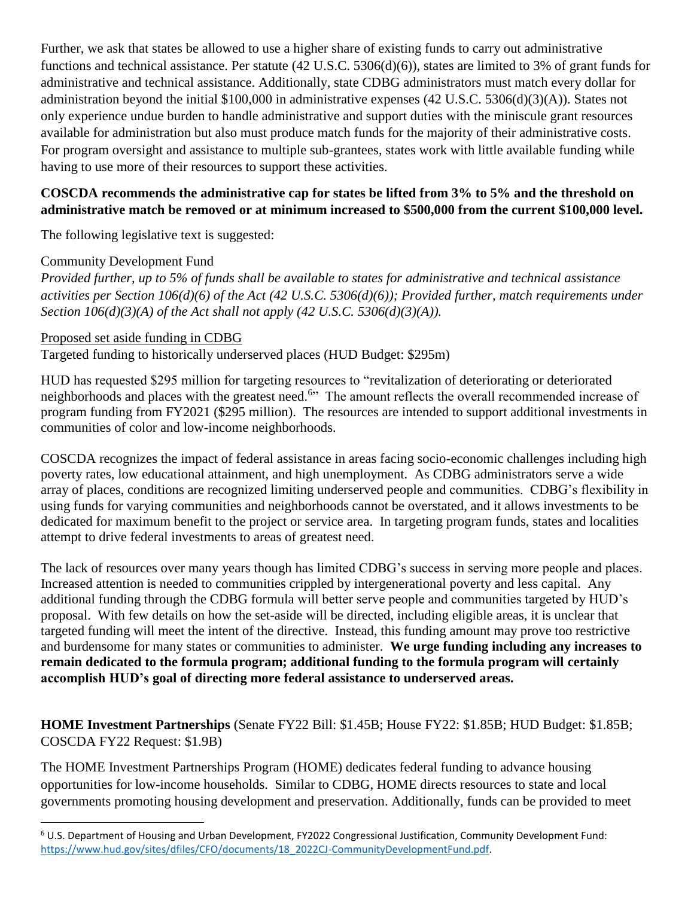Further, we ask that states be allowed to use a higher share of existing funds to carry out administrative functions and technical assistance. Per statute (42 U.S.C. 5306(d)(6)), states are limited to 3% of grant funds for administrative and technical assistance. Additionally, state CDBG administrators must match every dollar for administration beyond the initial \$100,000 in administrative expenses (42 U.S.C. 5306(d)(3)(A)). States not only experience undue burden to handle administrative and support duties with the miniscule grant resources available for administration but also must produce match funds for the majority of their administrative costs. For program oversight and assistance to multiple sub-grantees, states work with little available funding while having to use more of their resources to support these activities.

# **COSCDA recommends the administrative cap for states be lifted from 3% to 5% and the threshold on administrative match be removed or at minimum increased to \$500,000 from the current \$100,000 level.**

The following legislative text is suggested:

## Community Development Fund

*Provided further, up to 5% of funds shall be available to states for administrative and technical assistance activities per Section 106(d)(6) of the Act (42 U.S.C. 5306(d)(6)); Provided further, match requirements under Section 106(d)(3)(A) of the Act shall not apply (42 U.S.C. 5306(d)(3)(A)).*

## Proposed set aside funding in CDBG

l

Targeted funding to historically underserved places (HUD Budget: \$295m)

HUD has requested \$295 million for targeting resources to "revitalization of deteriorating or deteriorated neighborhoods and places with the greatest need.<sup>6</sup>" The amount reflects the overall recommended increase of program funding from FY2021 (\$295 million). The resources are intended to support additional investments in communities of color and low-income neighborhoods.

COSCDA recognizes the impact of federal assistance in areas facing socio-economic challenges including high poverty rates, low educational attainment, and high unemployment. As CDBG administrators serve a wide array of places, conditions are recognized limiting underserved people and communities. CDBG's flexibility in using funds for varying communities and neighborhoods cannot be overstated, and it allows investments to be dedicated for maximum benefit to the project or service area. In targeting program funds, states and localities attempt to drive federal investments to areas of greatest need.

The lack of resources over many years though has limited CDBG's success in serving more people and places. Increased attention is needed to communities crippled by intergenerational poverty and less capital. Any additional funding through the CDBG formula will better serve people and communities targeted by HUD's proposal. With few details on how the set-aside will be directed, including eligible areas, it is unclear that targeted funding will meet the intent of the directive. Instead, this funding amount may prove too restrictive and burdensome for many states or communities to administer. **We urge funding including any increases to remain dedicated to the formula program; additional funding to the formula program will certainly accomplish HUD's goal of directing more federal assistance to underserved areas.**

**HOME Investment Partnerships** (Senate FY22 Bill: \$1.45B; House FY22: \$1.85B; HUD Budget: \$1.85B; COSCDA FY22 Request: \$1.9B)

The HOME Investment Partnerships Program (HOME) dedicates federal funding to advance housing opportunities for low-income households. Similar to CDBG, HOME directs resources to state and local governments promoting housing development and preservation. Additionally, funds can be provided to meet

<sup>6</sup> U.S. Department of Housing and Urban Development, FY2022 Congressional Justification, Community Development Fund: [https://www.hud.gov/sites/dfiles/CFO/documents/18\\_2022CJ-CommunityDevelopmentFund.pdf.](https://www.hud.gov/sites/dfiles/CFO/documents/18_2022CJ-CommunityDevelopmentFund.pdf)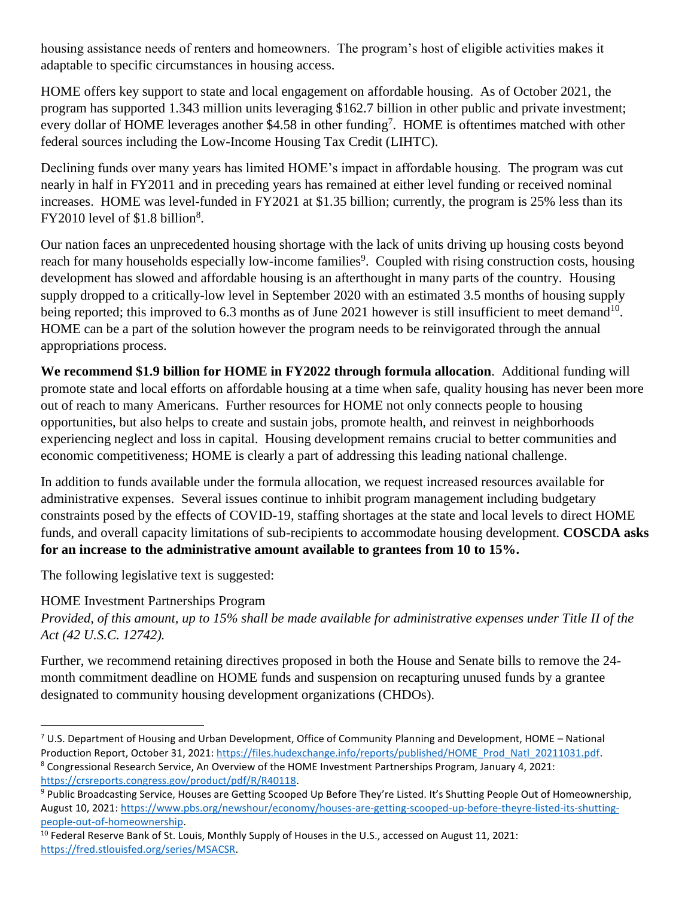housing assistance needs of renters and homeowners. The program's host of eligible activities makes it adaptable to specific circumstances in housing access.

HOME offers key support to state and local engagement on affordable housing. As of October 2021, the program has supported 1.343 million units leveraging \$162.7 billion in other public and private investment; every dollar of HOME leverages another \$4.58 in other funding<sup>7</sup>. HOME is oftentimes matched with other federal sources including the Low-Income Housing Tax Credit (LIHTC).

Declining funds over many years has limited HOME's impact in affordable housing. The program was cut nearly in half in FY2011 and in preceding years has remained at either level funding or received nominal increases. HOME was level-funded in FY2021 at \$1.35 billion; currently, the program is 25% less than its  $FY2010$  level of \$1.8 billion<sup>8</sup>.

Our nation faces an unprecedented housing shortage with the lack of units driving up housing costs beyond reach for many households especially low-income families<sup>9</sup>. Coupled with rising construction costs, housing development has slowed and affordable housing is an afterthought in many parts of the country. Housing supply dropped to a critically-low level in September 2020 with an estimated 3.5 months of housing supply being reported; this improved to 6.3 months as of June 2021 however is still insufficient to meet demand<sup>10</sup>. HOME can be a part of the solution however the program needs to be reinvigorated through the annual appropriations process.

**We recommend \$1.9 billion for HOME in FY2022 through formula allocation**. Additional funding will promote state and local efforts on affordable housing at a time when safe, quality housing has never been more out of reach to many Americans. Further resources for HOME not only connects people to housing opportunities, but also helps to create and sustain jobs, promote health, and reinvest in neighborhoods experiencing neglect and loss in capital. Housing development remains crucial to better communities and economic competitiveness; HOME is clearly a part of addressing this leading national challenge.

In addition to funds available under the formula allocation, we request increased resources available for administrative expenses. Several issues continue to inhibit program management including budgetary constraints posed by the effects of COVID-19, staffing shortages at the state and local levels to direct HOME funds, and overall capacity limitations of sub-recipients to accommodate housing development. **COSCDA asks for an increase to the administrative amount available to grantees from 10 to 15%.**

The following legislative text is suggested:

# HOME Investment Partnerships Program

*Provided, of this amount, up to 15% shall be made available for administrative expenses under Title II of the Act (42 U.S.C. 12742).*

Further, we recommend retaining directives proposed in both the House and Senate bills to remove the 24 month commitment deadline on HOME funds and suspension on recapturing unused funds by a grantee designated to community housing development organizations (CHDOs).

 $\overline{\phantom{a}}$  $7$  U.S. Department of Housing and Urban Development, Office of Community Planning and Development, HOME – National Production Report, October 31, 2021: [https://files.hudexchange.info/reports/published/HOME\\_Prod\\_Natl\\_20211031.pdf.](https://files.hudexchange.info/reports/published/HOME_Prod_Natl_20211031.pdf)  <sup>8</sup> Congressional Research Service, An Overview of the HOME Investment Partnerships Program, January 4, 2021:

[https://crsreports.congress.gov/product/pdf/R/R40118.](https://crsreports.congress.gov/product/pdf/R/R40118)

<sup>9</sup> Public Broadcasting Service, Houses are Getting Scooped Up Before They're Listed. It's Shutting People Out of Homeownership, August 10, 2021[: https://www.pbs.org/newshour/economy/houses-are-getting-scooped-up-before-theyre-listed-its-shutting](https://www.pbs.org/newshour/economy/houses-are-getting-scooped-up-before-theyre-listed-its-shutting-people-out-of-homeownership)[people-out-of-homeownership.](https://www.pbs.org/newshour/economy/houses-are-getting-scooped-up-before-theyre-listed-its-shutting-people-out-of-homeownership)

 $10$  Federal Reserve Bank of St. Louis, Monthly Supply of Houses in the U.S., accessed on August 11, 2021: [https://fred.stlouisfed.org/series/MSACSR.](https://fred.stlouisfed.org/series/MSACSR)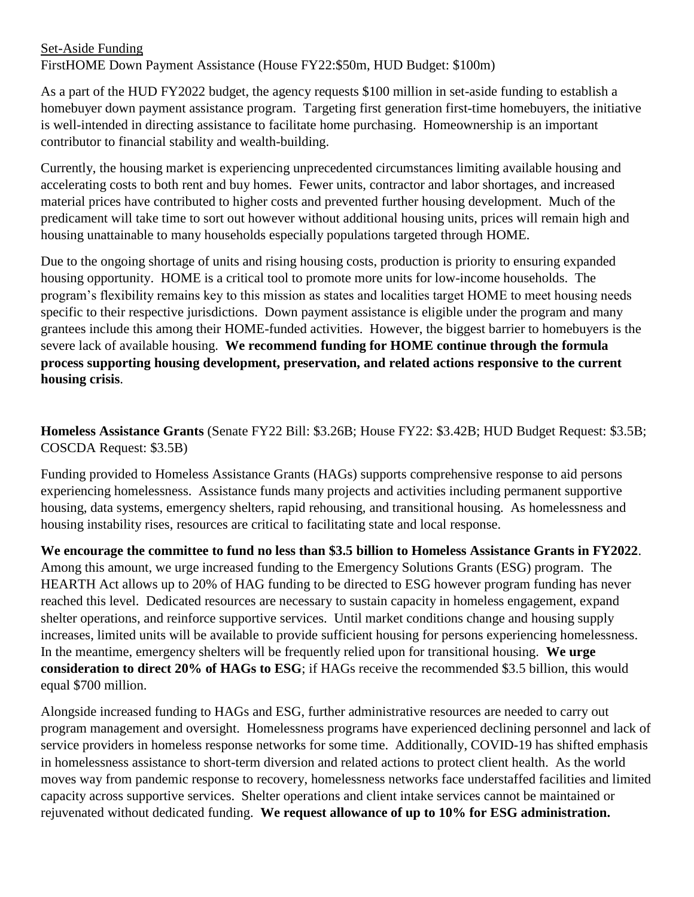## Set-Aside Funding FirstHOME Down Payment Assistance (House FY22:\$50m, HUD Budget: \$100m)

As a part of the HUD FY2022 budget, the agency requests \$100 million in set-aside funding to establish a homebuyer down payment assistance program. Targeting first generation first-time homebuyers, the initiative is well-intended in directing assistance to facilitate home purchasing. Homeownership is an important contributor to financial stability and wealth-building.

Currently, the housing market is experiencing unprecedented circumstances limiting available housing and accelerating costs to both rent and buy homes. Fewer units, contractor and labor shortages, and increased material prices have contributed to higher costs and prevented further housing development. Much of the predicament will take time to sort out however without additional housing units, prices will remain high and housing unattainable to many households especially populations targeted through HOME.

Due to the ongoing shortage of units and rising housing costs, production is priority to ensuring expanded housing opportunity. HOME is a critical tool to promote more units for low-income households. The program's flexibility remains key to this mission as states and localities target HOME to meet housing needs specific to their respective jurisdictions. Down payment assistance is eligible under the program and many grantees include this among their HOME-funded activities. However, the biggest barrier to homebuyers is the severe lack of available housing. **We recommend funding for HOME continue through the formula process supporting housing development, preservation, and related actions responsive to the current housing crisis**.

**Homeless Assistance Grants** (Senate FY22 Bill: \$3.26B; House FY22: \$3.42B; HUD Budget Request: \$3.5B; COSCDA Request: \$3.5B)

Funding provided to Homeless Assistance Grants (HAGs) supports comprehensive response to aid persons experiencing homelessness. Assistance funds many projects and activities including permanent supportive housing, data systems, emergency shelters, rapid rehousing, and transitional housing. As homelessness and housing instability rises, resources are critical to facilitating state and local response.

**We encourage the committee to fund no less than \$3.5 billion to Homeless Assistance Grants in FY2022**. Among this amount, we urge increased funding to the Emergency Solutions Grants (ESG) program. The HEARTH Act allows up to 20% of HAG funding to be directed to ESG however program funding has never reached this level. Dedicated resources are necessary to sustain capacity in homeless engagement, expand shelter operations, and reinforce supportive services. Until market conditions change and housing supply increases, limited units will be available to provide sufficient housing for persons experiencing homelessness. In the meantime, emergency shelters will be frequently relied upon for transitional housing. **We urge consideration to direct 20% of HAGs to ESG**; if HAGs receive the recommended \$3.5 billion, this would equal \$700 million.

Alongside increased funding to HAGs and ESG, further administrative resources are needed to carry out program management and oversight. Homelessness programs have experienced declining personnel and lack of service providers in homeless response networks for some time. Additionally, COVID-19 has shifted emphasis in homelessness assistance to short-term diversion and related actions to protect client health. As the world moves way from pandemic response to recovery, homelessness networks face understaffed facilities and limited capacity across supportive services. Shelter operations and client intake services cannot be maintained or rejuvenated without dedicated funding. **We request allowance of up to 10% for ESG administration.**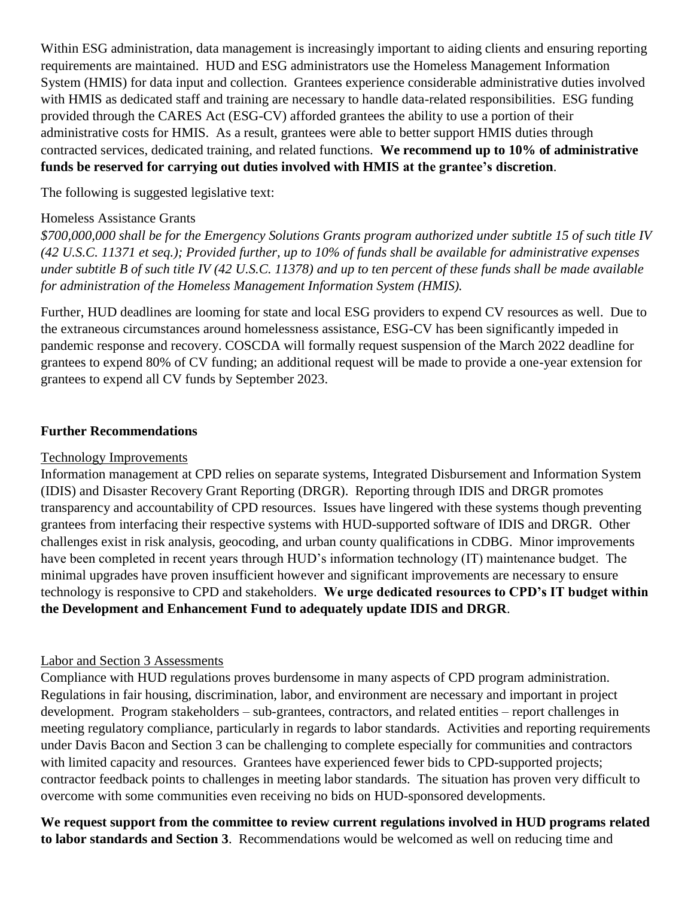Within ESG administration, data management is increasingly important to aiding clients and ensuring reporting requirements are maintained. HUD and ESG administrators use the Homeless Management Information System (HMIS) for data input and collection. Grantees experience considerable administrative duties involved with HMIS as dedicated staff and training are necessary to handle data-related responsibilities. ESG funding provided through the CARES Act (ESG-CV) afforded grantees the ability to use a portion of their administrative costs for HMIS. As a result, grantees were able to better support HMIS duties through contracted services, dedicated training, and related functions. **We recommend up to 10% of administrative funds be reserved for carrying out duties involved with HMIS at the grantee's discretion**.

The following is suggested legislative text:

#### Homeless Assistance Grants

*\$700,000,000 shall be for the Emergency Solutions Grants program authorized under subtitle 15 of such title IV (42 U.S.C. 11371 et seq.); Provided further, up to 10% of funds shall be available for administrative expenses under subtitle B of such title IV (42 U.S.C. 11378) and up to ten percent of these funds shall be made available for administration of the Homeless Management Information System (HMIS).*

Further, HUD deadlines are looming for state and local ESG providers to expend CV resources as well. Due to the extraneous circumstances around homelessness assistance, ESG-CV has been significantly impeded in pandemic response and recovery. COSCDA will formally request suspension of the March 2022 deadline for grantees to expend 80% of CV funding; an additional request will be made to provide a one-year extension for grantees to expend all CV funds by September 2023.

### **Further Recommendations**

#### Technology Improvements

Information management at CPD relies on separate systems, Integrated Disbursement and Information System (IDIS) and Disaster Recovery Grant Reporting (DRGR). Reporting through IDIS and DRGR promotes transparency and accountability of CPD resources. Issues have lingered with these systems though preventing grantees from interfacing their respective systems with HUD-supported software of IDIS and DRGR. Other challenges exist in risk analysis, geocoding, and urban county qualifications in CDBG. Minor improvements have been completed in recent years through HUD's information technology (IT) maintenance budget. The minimal upgrades have proven insufficient however and significant improvements are necessary to ensure technology is responsive to CPD and stakeholders. **We urge dedicated resources to CPD's IT budget within the Development and Enhancement Fund to adequately update IDIS and DRGR**.

### Labor and Section 3 Assessments

Compliance with HUD regulations proves burdensome in many aspects of CPD program administration. Regulations in fair housing, discrimination, labor, and environment are necessary and important in project development. Program stakeholders – sub-grantees, contractors, and related entities – report challenges in meeting regulatory compliance, particularly in regards to labor standards. Activities and reporting requirements under Davis Bacon and Section 3 can be challenging to complete especially for communities and contractors with limited capacity and resources. Grantees have experienced fewer bids to CPD-supported projects; contractor feedback points to challenges in meeting labor standards. The situation has proven very difficult to overcome with some communities even receiving no bids on HUD-sponsored developments.

**We request support from the committee to review current regulations involved in HUD programs related to labor standards and Section 3**. Recommendations would be welcomed as well on reducing time and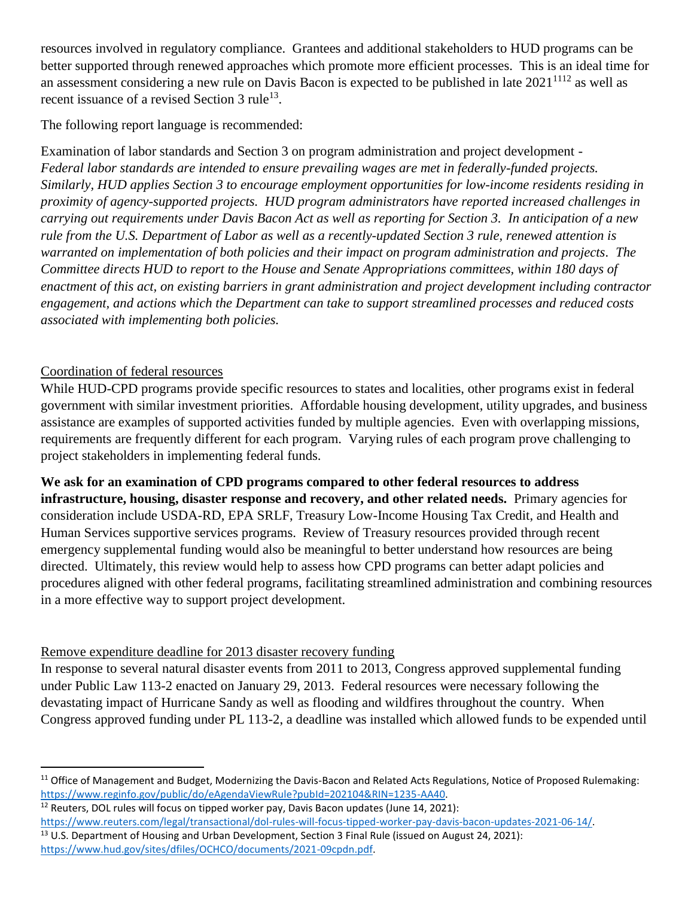resources involved in regulatory compliance. Grantees and additional stakeholders to HUD programs can be better supported through renewed approaches which promote more efficient processes. This is an ideal time for an assessment considering a new rule on Davis Bacon is expected to be published in late  $2021^{1112}$  as well as recent issuance of a revised Section  $3$  rule<sup>13</sup>.

The following report language is recommended:

Examination of labor standards and Section 3 on program administration and project development - *Federal labor standards are intended to ensure prevailing wages are met in federally-funded projects. Similarly, HUD applies Section 3 to encourage employment opportunities for low-income residents residing in proximity of agency-supported projects. HUD program administrators have reported increased challenges in carrying out requirements under Davis Bacon Act as well as reporting for Section 3. In anticipation of a new rule from the U.S. Department of Labor as well as a recently-updated Section 3 rule, renewed attention is warranted on implementation of both policies and their impact on program administration and projects. The Committee directs HUD to report to the House and Senate Appropriations committees, within 180 days of enactment of this act, on existing barriers in grant administration and project development including contractor engagement, and actions which the Department can take to support streamlined processes and reduced costs associated with implementing both policies.* 

# Coordination of federal resources

 $\overline{a}$ 

While HUD-CPD programs provide specific resources to states and localities, other programs exist in federal government with similar investment priorities. Affordable housing development, utility upgrades, and business assistance are examples of supported activities funded by multiple agencies. Even with overlapping missions, requirements are frequently different for each program. Varying rules of each program prove challenging to project stakeholders in implementing federal funds.

**We ask for an examination of CPD programs compared to other federal resources to address infrastructure, housing, disaster response and recovery, and other related needs.** Primary agencies for consideration include USDA-RD, EPA SRLF, Treasury Low-Income Housing Tax Credit, and Health and Human Services supportive services programs. Review of Treasury resources provided through recent emergency supplemental funding would also be meaningful to better understand how resources are being directed. Ultimately, this review would help to assess how CPD programs can better adapt policies and procedures aligned with other federal programs, facilitating streamlined administration and combining resources in a more effective way to support project development.

# Remove expenditure deadline for 2013 disaster recovery funding

In response to several natural disaster events from 2011 to 2013, Congress approved supplemental funding under Public Law 113-2 enacted on January 29, 2013. Federal resources were necessary following the devastating impact of Hurricane Sandy as well as flooding and wildfires throughout the country. When Congress approved funding under PL 113-2, a deadline was installed which allowed funds to be expended until

- $12$  Reuters, DOL rules will focus on tipped worker pay, Davis Bacon updates (June 14, 2021):
- [https://www.reuters.com/legal/transactional/dol-rules-will-focus-tipped-worker-pay-davis-bacon-updates-2021-06-14/.](https://www.reuters.com/legal/transactional/dol-rules-will-focus-tipped-worker-pay-davis-bacon-updates-2021-06-14/) <sup>13</sup> U.S. Department of Housing and Urban Development, Section 3 Final Rule (issued on August 24, 2021): [https://www.hud.gov/sites/dfiles/OCHCO/documents/2021-09cpdn.pdf.](https://www.hud.gov/sites/dfiles/OCHCO/documents/2021-09cpdn.pdf)

<sup>&</sup>lt;sup>11</sup> Office of Management and Budget, Modernizing the Davis-Bacon and Related Acts Regulations, Notice of Proposed Rulemaking: [https://www.reginfo.gov/public/do/eAgendaViewRule?pubId=202104&RIN=1235-AA40.](https://www.reginfo.gov/public/do/eAgendaViewRule?pubId=202104&RIN=1235-AA40)